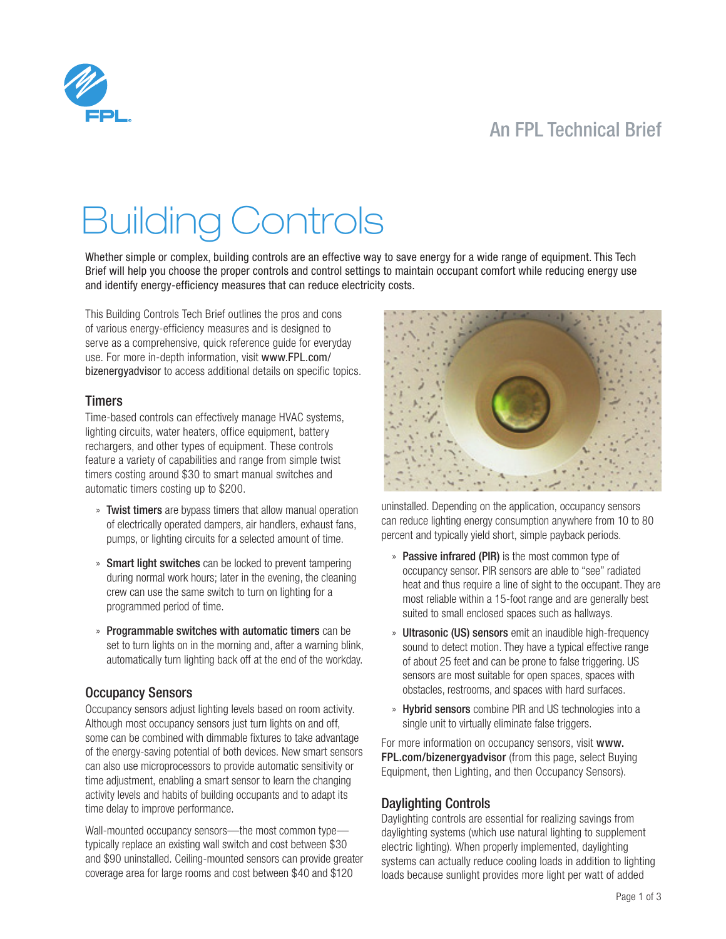# An FPL Technical Brief



# Building Controls

Whether simple or complex, building controls are an effective way to save energy for a wide range of equipment. This Tech Brief will help you choose the proper controls and control settings to maintain occupant comfort while reducing energy use and identify energy-efficiency measures that can reduce electricity costs.

This Building Controls Tech Brief outlines the pros and cons of various energy-efficiency measures and is designed to serve as a comprehensive, quick reference guide for everyday use. For more in-depth information, visit [www.FPL.com/](www.FPL.com/bizenergyadvisor) [bizenergyadvisor](www.FPL.com/bizenergyadvisor) to access additional details on specific topics.

# **Timers**

Time-based controls can effectively manage HVAC systems, lighting circuits, water heaters, office equipment, battery rechargers, and other types of equipment. These controls feature a variety of capabilities and range from simple twist timers costing around \$30 to smart manual switches and automatic timers costing up to \$200.

- » Twist timers are bypass timers that allow manual operation of electrically operated dampers, air handlers, exhaust fans, pumps, or lighting circuits for a selected amount of time.
- » **Smart light switches** can be locked to prevent tampering during normal work hours; later in the evening, the cleaning crew can use the same switch to turn on lighting for a programmed period of time.
- » Programmable switches with automatic timers can be set to turn lights on in the morning and, after a warning blink, automatically turn lighting back off at the end of the workday.

# Occupancy Sensors

Occupancy sensors adjust lighting levels based on room activity. Although most occupancy sensors just turn lights on and off, some can be combined with dimmable fixtures to take advantage of the energy-saving potential of both devices. New smart sensors can also use microprocessors to provide automatic sensitivity or time adjustment, enabling a smart sensor to learn the changing activity levels and habits of building occupants and to adapt its time delay to improve performance.

Wall-mounted occupancy sensors—the most common type typically replace an existing wall switch and cost between \$30 and \$90 uninstalled. Ceiling-mounted sensors can provide greater coverage area for large rooms and cost between \$40 and \$120



uninstalled. Depending on the application, occupancy sensors can reduce lighting energy consumption anywhere from 10 to 80 percent and typically yield short, simple payback periods.

- » Passive infrared (PIR) is the most common type of occupancy sensor. PIR sensors are able to "see" radiated heat and thus require a line of sight to the occupant. They are most reliable within a 15-foot range and are generally best suited to small enclosed spaces such as hallways.
- » Ultrasonic (US) sensors emit an inaudible high-frequency sound to detect motion. They have a typical effective range of about 25 feet and can be prone to false triggering. US sensors are most suitable for open spaces, spaces with obstacles, restrooms, and spaces with hard surfaces.
- » Hybrid sensors combine PIR and US technologies into a single unit to virtually eliminate false triggers.

For more information on occupancy sensors, visit [www.](www.FPL.com/bizenergyadvisor) [FPL.com/bizenergyadvisor](www.FPL.com/bizenergyadvisor) (from this page, select Buying Equipment, then Lighting, and then Occupancy Sensors).

# Daylighting Controls

Daylighting controls are essential for realizing savings from daylighting systems (which use natural lighting to supplement electric lighting). When properly implemented, daylighting systems can actually reduce cooling loads in addition to lighting loads because sunlight provides more light per watt of added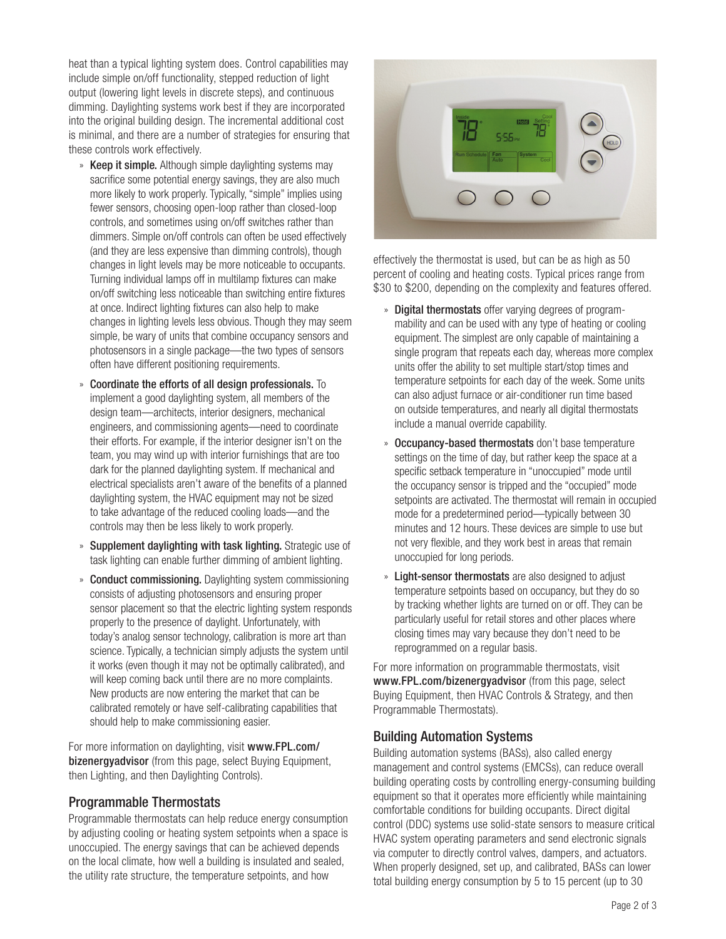heat than a typical lighting system does. Control capabilities may include simple on/off functionality, stepped reduction of light output (lowering light levels in discrete steps), and continuous dimming. Daylighting systems work best if they are incorporated into the original building design. The incremental additional cost is minimal, and there are a number of strategies for ensuring that these controls work effectively.

- » **Keep it simple.** Although simple daylighting systems may sacrifice some potential energy savings, they are also much more likely to work properly. Typically, "simple" implies using fewer sensors, choosing open-loop rather than closed-loop controls, and sometimes using on/off switches rather than dimmers. Simple on/off controls can often be used effectively (and they are less expensive than dimming controls), though changes in light levels may be more noticeable to occupants. Turning individual lamps off in multilamp fixtures can make on/off switching less noticeable than switching entire fixtures at once. Indirect lighting fixtures can also help to make changes in lighting levels less obvious. Though they may seem simple, be wary of units that combine occupancy sensors and photosensors in a single package—the two types of sensors often have different positioning requirements.
- » Coordinate the efforts of all design professionals. To implement a good daylighting system, all members of the design team—architects, interior designers, mechanical engineers, and commissioning agents—need to coordinate their efforts. For example, if the interior designer isn't on the team, you may wind up with interior furnishings that are too dark for the planned daylighting system. If mechanical and electrical specialists aren't aware of the benefits of a planned daylighting system, the HVAC equipment may not be sized to take advantage of the reduced cooling loads—and the controls may then be less likely to work properly.
- » Supplement daylighting with task lighting. Strategic use of task lighting can enable further dimming of ambient lighting.
- » Conduct commissioning. Daylighting system commissioning consists of adjusting photosensors and ensuring proper sensor placement so that the electric lighting system responds properly to the presence of daylight. Unfortunately, with today's analog sensor technology, calibration is more art than science. Typically, a technician simply adjusts the system until it works (even though it may not be optimally calibrated), and will keep coming back until there are no more complaints. New products are now entering the market that can be calibrated remotely or have self-calibrating capabilities that should help to make commissioning easier.

For more information on daylighting, visit [www.FPL.com/](www.FPL.com/bizenergyadvisor) [bizenergyadvisor](www.FPL.com/bizenergyadvisor) (from this page, select Buying Equipment, then Lighting, and then Daylighting Controls).

#### Programmable Thermostats

Programmable thermostats can help reduce energy consumption by adjusting cooling or heating system setpoints when a space is unoccupied. The energy savings that can be achieved depends on the local climate, how well a building is insulated and sealed, the utility rate structure, the temperature setpoints, and how



effectively the thermostat is used, but can be as high as 50 percent of cooling and heating costs. Typical prices range from \$30 to \$200, depending on the complexity and features offered.

- » Digital thermostats offer varying degrees of programmability and can be used with any type of heating or cooling equipment. The simplest are only capable of maintaining a single program that repeats each day, whereas more complex units offer the ability to set multiple start/stop times and temperature setpoints for each day of the week. Some units can also adjust furnace or air-conditioner run time based on outside temperatures, and nearly all digital thermostats include a manual override capability.
- » Occupancy-based thermostats don't base temperature settings on the time of day, but rather keep the space at a specific setback temperature in "unoccupied" mode until the occupancy sensor is tripped and the "occupied" mode setpoints are activated. The thermostat will remain in occupied mode for a predetermined period—typically between 30 minutes and 12 hours. These devices are simple to use but not very flexible, and they work best in areas that remain unoccupied for long periods.
- » Light-sensor thermostats are also designed to adjust temperature setpoints based on occupancy, but they do so by tracking whether lights are turned on or off. They can be particularly useful for retail stores and other places where closing times may vary because they don't need to be reprogrammed on a regular basis.

For more information on programmable thermostats, visit <www.FPL.com/bizenergyadvisor> (from this page, select Buying Equipment, then HVAC Controls & Strategy, and then Programmable Thermostats).

# Building Automation Systems

Building automation systems (BASs), also called energy management and control systems (EMCSs), can reduce overall building operating costs by controlling energy-consuming building equipment so that it operates more efficiently while maintaining comfortable conditions for building occupants. Direct digital control (DDC) systems use solid-state sensors to measure critical HVAC system operating parameters and send electronic signals via computer to directly control valves, dampers, and actuators. When properly designed, set up, and calibrated, BASs can lower total building energy consumption by 5 to 15 percent (up to 30